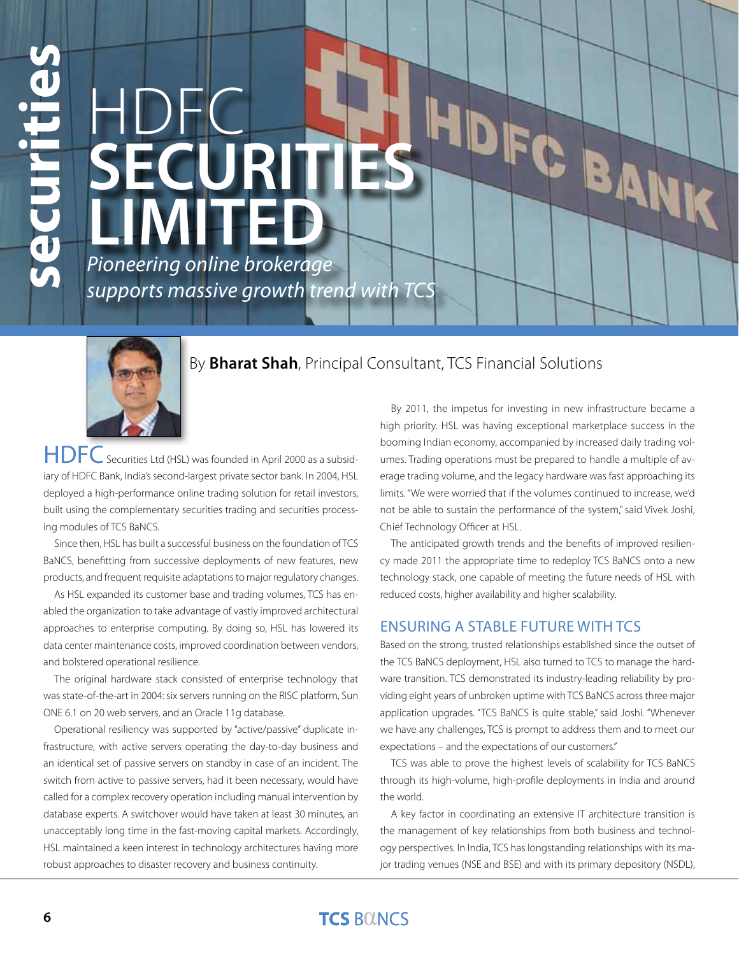# **EXECUTE:**<br>
PION PION BUSINE AND MOREON CONTINUITS AND PION BUSINE AND MOREON CONTINUITS AND SURFACE SURFACE CONTINUITS AND SURFACE CONTINUITS (SECURITS AND SURFACE CONTINUITS) AND SURFACE CONTINUITS (SECURITS AND SURFACE **HDFC<br>SECURIT** HDFC BANK **Limited** *Pioneering online brokerage supports massive growth trend with TCS*



# By **Bharat Shah**, Principal Consultant, TCS Financial Solutions

HDFC Securities Ltd (HSL) was founded in April 2000 as a subsidiary of HDFC Bank, India's second-largest private sector bank. In 2004, HSL deployed a high-performance online trading solution for retail investors, built using the complementary securities trading and securities processing modules of TCS BaNCS.

Since then, HSL has built a successful business on the foundation of TCS BaNCS, benefitting from successive deployments of new features, new products, and frequent requisite adaptations to major regulatory changes.

As HSL expanded its customer base and trading volumes, TCS has enabled the organization to take advantage of vastly improved architectural approaches to enterprise computing. By doing so, HSL has lowered its data center maintenance costs, improved coordination between vendors, and bolstered operational resilience.

The original hardware stack consisted of enterprise technology that was state-of-the-art in 2004: six servers running on the RISC platform, Sun ONE 6.1 on 20 web servers, and an Oracle 11g database.

Operational resiliency was supported by "active/passive" duplicate infrastructure, with active servers operating the day-to-day business and an identical set of passive servers on standby in case of an incident. The switch from active to passive servers, had it been necessary, would have called for a complex recovery operation including manual intervention by database experts. A switchover would have taken at least 30 minutes, an unacceptably long time in the fast-moving capital markets. Accordingly, HSL maintained a keen interest in technology architectures having more

By 2011, the impetus for investing in new infrastructure became a high priority. HSL was having exceptional marketplace success in the booming Indian economy, accompanied by increased daily trading volumes. Trading operations must be prepared to handle a multiple of average trading volume, and the legacy hardware was fast approaching its limits. "We were worried that if the volumes continued to increase, we'd not be able to sustain the performance of the system," said Vivek Joshi, Chief Technology Officer at HSL.

The anticipated growth trends and the benefits of improved resiliency made 2011 the appropriate time to redeploy TCS BaNCS onto a new technology stack, one capable of meeting the future needs of HSL with reduced costs, higher availability and higher scalability.

## Ensuring a Stable Future with TCS

Based on the strong, trusted relationships established since the outset of the TCS BaNCS deployment, HSL also turned to TCS to manage the hardware transition. TCS demonstrated its industry-leading reliability by providing eight years of unbroken uptime with TCS BaNCS across three major application upgrades. "TCS BaNCS is quite stable," said Joshi. "Whenever we have any challenges, TCS is prompt to address them and to meet our expectations – and the expectations of our customers."

TCS was able to prove the highest levels of scalability for TCS BaNCS through its high-volume, high-profile deployments in India and around the world.

A key factor in coordinating an extensive IT architecture transition is the management of key relationships from both business and technology perspectives. In India, TCS has longstanding relationships with its major trading venues (NSE and BSE) and with its primary depository (NSDL),

# **TCS BOINCS**